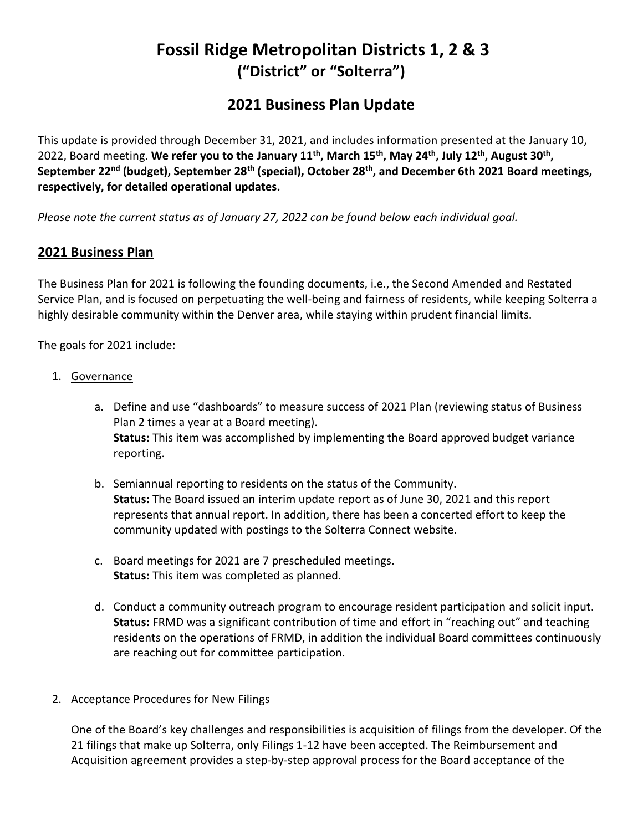# **Fossil Ridge Metropolitan Districts 1, 2 & 3 ("District" or "Solterra")**

# **2021 Business Plan Update**

This update is provided through December 31, 2021, and includes information presented at the January 10, 2022, Board meeting. **We refer you to the January 11th , March 15th, May 24th , July 12th , August 30th , September 22nd (budget), September 28th (special), October 28th, and December 6th 2021 Board meetings, respectively, for detailed operational updates.**

*Please note the current status as of January 27, 2022 can be found below each individual goal.*

## **2021 Business Plan**

The Business Plan for 2021 is following the founding documents, i.e., the Second Amended and Restated Service Plan, and is focused on perpetuating the well-being and fairness of residents, while keeping Solterra a highly desirable community within the Denver area, while staying within prudent financial limits.

The goals for 2021 include:

- 1. Governance
	- a. Define and use "dashboards" to measure success of 2021 Plan (reviewing status of Business Plan 2 times a year at a Board meeting). **Status:** This item was accomplished by implementing the Board approved budget variance reporting.
	- b. Semiannual reporting to residents on the status of the Community. **Status:** The Board issued an interim update report as of June 30, 2021 and this report represents that annual report. In addition, there has been a concerted effort to keep the community updated with postings to the Solterra Connect website.
	- c. Board meetings for 2021 are 7 prescheduled meetings. **Status:** This item was completed as planned.
	- d. Conduct a community outreach program to encourage resident participation and solicit input. **Status:** FRMD was a significant contribution of time and effort in "reaching out" and teaching residents on the operations of FRMD, in addition the individual Board committees continuously are reaching out for committee participation.

### 2. Acceptance Procedures for New Filings

One of the Board's key challenges and responsibilities is acquisition of filings from the developer. Of the 21 filings that make up Solterra, only Filings 1-12 have been accepted. The Reimbursement and Acquisition agreement provides a step-by-step approval process for the Board acceptance of the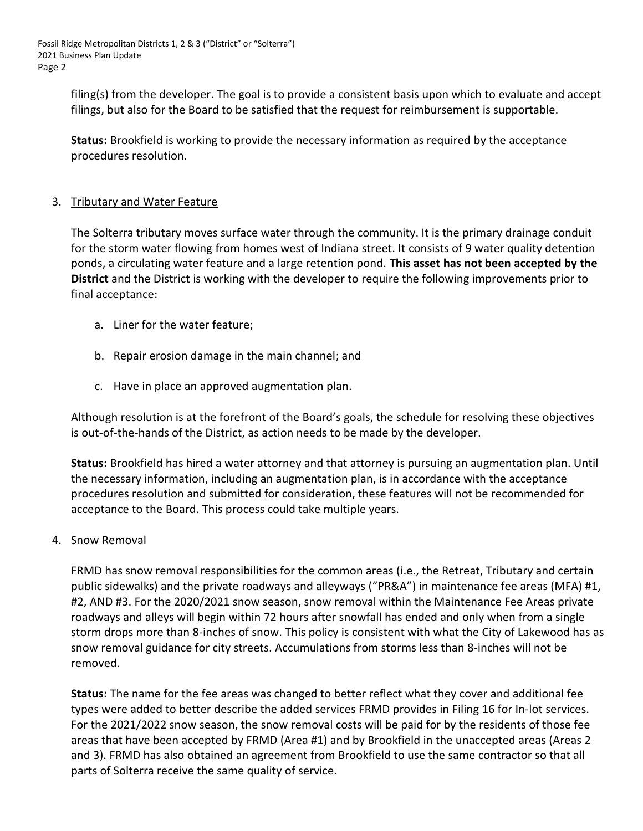Fossil Ridge Metropolitan Districts 1, 2 & 3 ("District" or "Solterra") 2021 Business Plan Update Page 2

> filing(s) from the developer. The goal is to provide a consistent basis upon which to evaluate and accept filings, but also for the Board to be satisfied that the request for reimbursement is supportable.

**Status:** Brookfield is working to provide the necessary information as required by the acceptance procedures resolution.

#### 3. Tributary and Water Feature

The Solterra tributary moves surface water through the community. It is the primary drainage conduit for the storm water flowing from homes west of Indiana street. It consists of 9 water quality detention ponds, a circulating water feature and a large retention pond. **This asset has not been accepted by the District** and the District is working with the developer to require the following improvements prior to final acceptance:

- a. Liner for the water feature;
- b. Repair erosion damage in the main channel; and
- c. Have in place an approved augmentation plan.

Although resolution is at the forefront of the Board's goals, the schedule for resolving these objectives is out-of-the-hands of the District, as action needs to be made by the developer.

**Status:** Brookfield has hired a water attorney and that attorney is pursuing an augmentation plan. Until the necessary information, including an augmentation plan, is in accordance with the acceptance procedures resolution and submitted for consideration, these features will not be recommended for acceptance to the Board. This process could take multiple years.

#### 4. Snow Removal

FRMD has snow removal responsibilities for the common areas (i.e., the Retreat, Tributary and certain public sidewalks) and the private roadways and alleyways ("PR&A") in maintenance fee areas (MFA) #1, #2, AND #3. For the 2020/2021 snow season, snow removal within the Maintenance Fee Areas private roadways and alleys will begin within 72 hours after snowfall has ended and only when from a single storm drops more than 8-inches of snow. This policy is consistent with what the City of Lakewood has as snow removal guidance for city streets. Accumulations from storms less than 8-inches will not be removed.

**Status:** The name for the fee areas was changed to better reflect what they cover and additional fee types were added to better describe the added services FRMD provides in Filing 16 for In-lot services. For the 2021/2022 snow season, the snow removal costs will be paid for by the residents of those fee areas that have been accepted by FRMD (Area #1) and by Brookfield in the unaccepted areas (Areas 2 and 3). FRMD has also obtained an agreement from Brookfield to use the same contractor so that all parts of Solterra receive the same quality of service.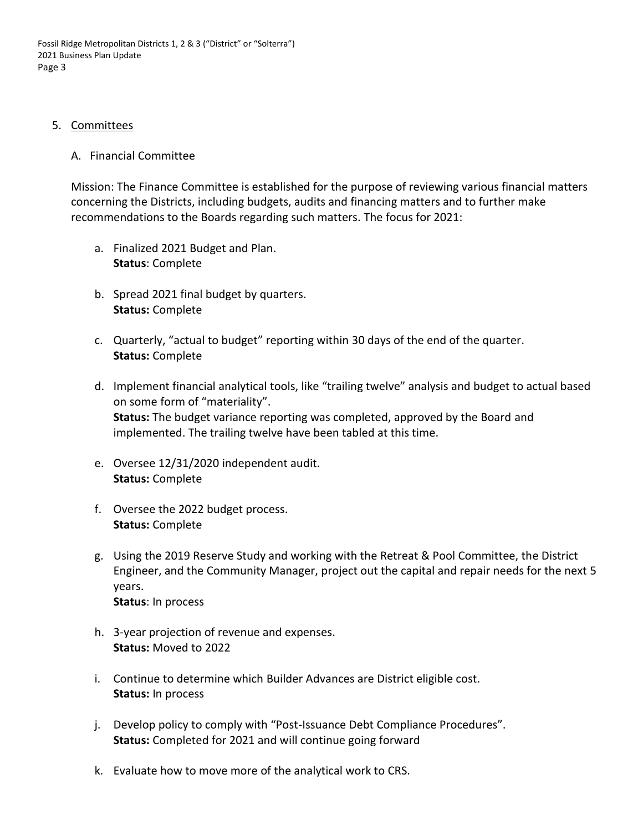#### 5. Committees

#### A. Financial Committee

Mission: The Finance Committee is established for the purpose of reviewing various financial matters concerning the Districts, including budgets, audits and financing matters and to further make recommendations to the Boards regarding such matters. The focus for 2021:

- a. Finalized 2021 Budget and Plan. **Status**: Complete
- b. Spread 2021 final budget by quarters. **Status:** Complete
- c. Quarterly, "actual to budget" reporting within 30 days of the end of the quarter. **Status:** Complete
- d. Implement financial analytical tools, like "trailing twelve" analysis and budget to actual based on some form of "materiality". **Status:** The budget variance reporting was completed, approved by the Board and implemented. The trailing twelve have been tabled at this time.
- e. Oversee 12/31/2020 independent audit. **Status:** Complete
- f. Oversee the 2022 budget process. **Status:** Complete
- g. Using the 2019 Reserve Study and working with the Retreat & Pool Committee, the District Engineer, and the Community Manager, project out the capital and repair needs for the next 5 years. **Status**: In process
- h. 3-year projection of revenue and expenses. **Status:** Moved to 2022
- i. Continue to determine which Builder Advances are District eligible cost. **Status:** In process
- j. Develop policy to comply with "Post-Issuance Debt Compliance Procedures". **Status:** Completed for 2021 and will continue going forward
- k. Evaluate how to move more of the analytical work to CRS.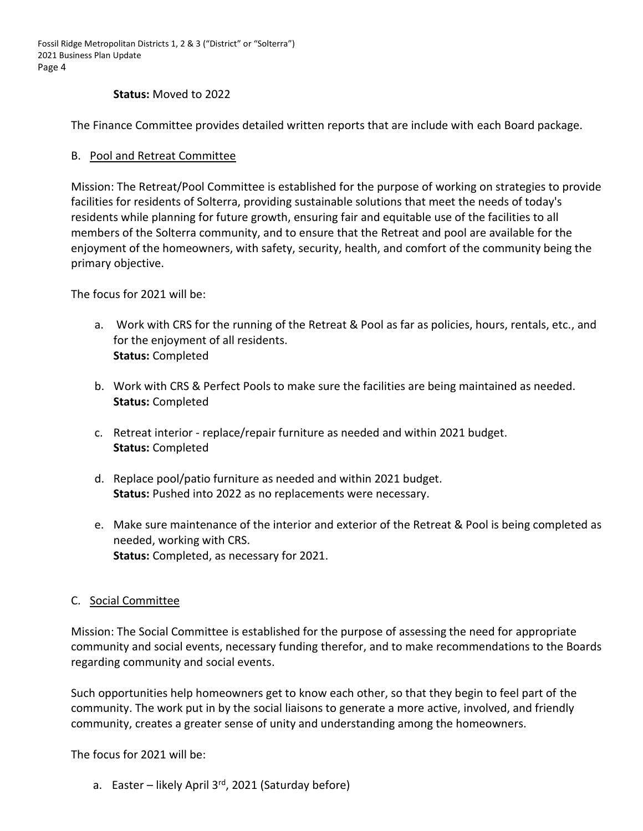Fossil Ridge Metropolitan Districts 1, 2 & 3 ("District" or "Solterra") 2021 Business Plan Update Page 4

#### **Status:** Moved to 2022

The Finance Committee provides detailed written reports that are include with each Board package.

#### B. Pool and Retreat Committee

Mission: The Retreat/Pool Committee is established for the purpose of working on strategies to provide facilities for residents of Solterra, providing sustainable solutions that meet the needs of today's residents while planning for future growth, ensuring fair and equitable use of the facilities to all members of the Solterra community, and to ensure that the Retreat and pool are available for the enjoyment of the homeowners, with safety, security, health, and comfort of the community being the primary objective.

The focus for 2021 will be:

- a. Work with CRS for the running of the Retreat & Pool as far as policies, hours, rentals, etc., and for the enjoyment of all residents. **Status:** Completed
- b. Work with CRS & Perfect Pools to make sure the facilities are being maintained as needed. **Status:** Completed
- c. Retreat interior replace/repair furniture as needed and within 2021 budget. **Status:** Completed
- d. Replace pool/patio furniture as needed and within 2021 budget. **Status:** Pushed into 2022 as no replacements were necessary.
- e. Make sure maintenance of the interior and exterior of the Retreat & Pool is being completed as needed, working with CRS. **Status:** Completed, as necessary for 2021.

#### C. Social Committee

Mission: The Social Committee is established for the purpose of assessing the need for appropriate community and social events, necessary funding therefor, and to make recommendations to the Boards regarding community and social events.

Such opportunities help homeowners get to know each other, so that they begin to feel part of the community. The work put in by the social liaisons to generate a more active, involved, and friendly community, creates a greater sense of unity and understanding among the homeowners.

The focus for 2021 will be:

a. Easter – likely April  $3^{rd}$ , 2021 (Saturday before)